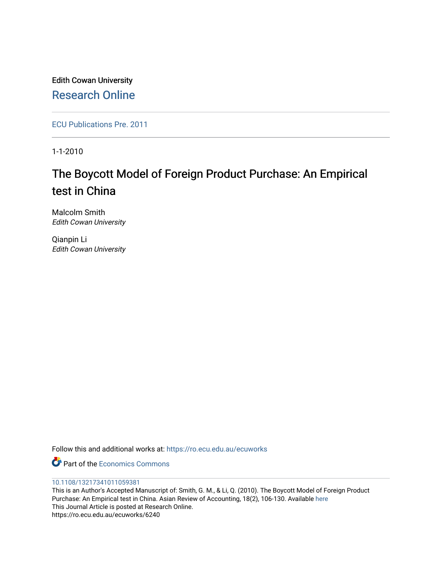Edith Cowan University [Research Online](https://ro.ecu.edu.au/) 

[ECU Publications Pre. 2011](https://ro.ecu.edu.au/ecuworks)

1-1-2010

# The Boycott Model of Foreign Product Purchase: An Empirical test in China

Malcolm Smith Edith Cowan University

Qianpin Li Edith Cowan University

Follow this and additional works at: [https://ro.ecu.edu.au/ecuworks](https://ro.ecu.edu.au/ecuworks?utm_source=ro.ecu.edu.au%2Fecuworks%2F6240&utm_medium=PDF&utm_campaign=PDFCoverPages) 

**Part of the [Economics Commons](http://network.bepress.com/hgg/discipline/340?utm_source=ro.ecu.edu.au%2Fecuworks%2F6240&utm_medium=PDF&utm_campaign=PDFCoverPages)** 

#### [10.1108/13217341011059381](http://dx.doi.org/10.1108/13217341011059381)

This is an Author's Accepted Manuscript of: Smith, G. M., & Li, Q. (2010). The Boycott Model of Foreign Product Purchase: An Empirical test in China. Asian Review of Accounting, 18(2), 106-130. Available [here](http://dx.doi.org/10.1108/13217341011059381)  This Journal Article is posted at Research Online. https://ro.ecu.edu.au/ecuworks/6240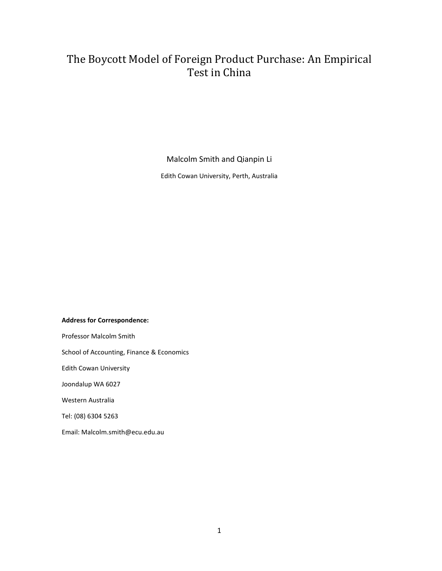# The Boycott Model of Foreign Product Purchase: An Empirical Test in China

Malcolm Smith and Qianpin Li

Edith Cowan University, Perth, Australia

#### **Address for Correspondence:**

Professor Malcolm Smith

School of Accounting, Finance & Economics

Edith Cowan University

Joondalup WA 6027

Western Australia

Tel: (08) 6304 5263

Email: Malcolm.smith@ecu.edu.au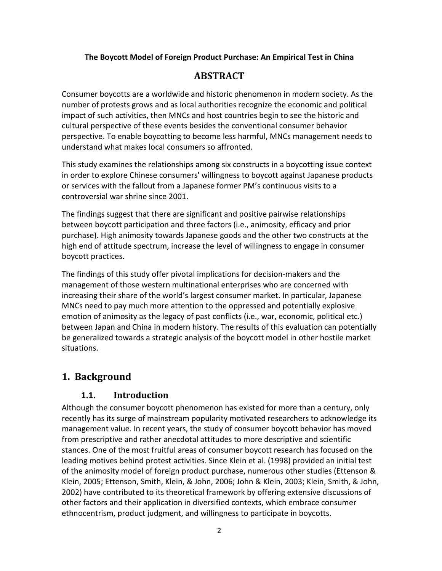#### **The Boycott Model of Foreign Product Purchase: An Empirical Test in China**

# **ABSTRACT**

Consumer boycotts are a worldwide and historic phenomenon in modern society. As the number of protests grows and as local authorities recognize the economic and political impact of such activities, then MNCs and host countries begin to see the historic and cultural perspective of these events besides the conventional consumer behavior perspective. To enable boycotting to become less harmful, MNCs management needs to understand what makes local consumers so affronted.

This study examines the relationships among six constructs in a boycotting issue context in order to explore Chinese consumers' willingness to boycott against Japanese products or services with the fallout from a Japanese former PM's continuous visits to a controversial war shrine since 2001.

The findings suggest that there are significant and positive pairwise relationships between boycott participation and three factors (i.e., animosity, efficacy and prior purchase). High animosity towards Japanese goods and the other two constructs at the high end of attitude spectrum, increase the level of willingness to engage in consumer boycott practices.

The findings of this study offer pivotal implications for decision-makers and the management of those western multinational enterprises who are concerned with increasing their share of the world's largest consumer market. In particular, Japanese MNCs need to pay much more attention to the oppressed and potentially explosive emotion of animosity as the legacy of past conflicts (i.e., war, economic, political etc.) between Japan and China in modern history. The results of this evaluation can potentially be generalized towards a strategic analysis of the boycott model in other hostile market situations.

# **1. Background**

### **1.1. Introduction**

Although the consumer boycott phenomenon has existed for more than a century, only recently has its surge of mainstream popularity motivated researchers to acknowledge its management value. In recent years, the study of consumer boycott behavior has moved from prescriptive and rather anecdotal attitudes to more descriptive and scientific stances. One of the most fruitful areas of consumer boycott research has focused on the leading motives behind protest activities. Since Klein et al. (1998) provided an initial test of the animosity model of foreign product purchase, numerous other studies (Ettenson & Klein, 2005; Ettenson, Smith, Klein, & John, 2006; John & Klein, 2003; Klein, Smith, & John, 2002) have contributed to its theoretical framework by offering extensive discussions of other factors and their application in diversified contexts, which embrace consumer ethnocentrism, product judgment, and willingness to participate in boycotts.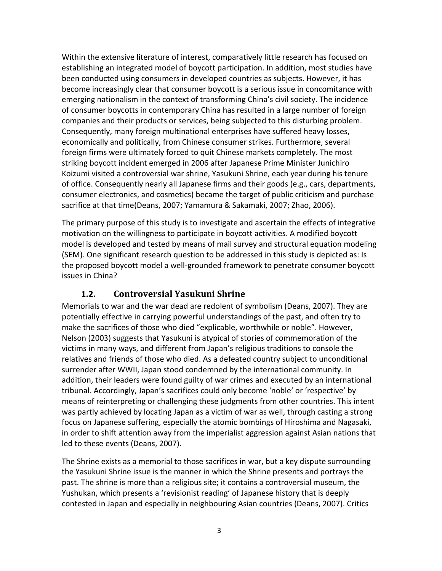Within the extensive literature of interest, comparatively little research has focused on establishing an integrated model of boycott participation. In addition, most studies have been conducted using consumers in developed countries as subjects. However, it has become increasingly clear that consumer boycott is a serious issue in concomitance with emerging nationalism in the context of transforming China's civil society. The incidence of consumer boycotts in contemporary China has resulted in a large number of foreign companies and their products or services, being subjected to this disturbing problem. Consequently, many foreign multinational enterprises have suffered heavy losses, economically and politically, from Chinese consumer strikes. Furthermore, several foreign firms were ultimately forced to quit Chinese markets completely. The most striking boycott incident emerged in 2006 after Japanese Prime Minister Junichiro Koizumi visited a controversial war shrine, Yasukuni Shrine, each year during his tenure of office. Consequently nearly all Japanese firms and their goods (e.g., cars, departments, consumer electronics, and cosmetics) became the target of public criticism and purchase sacrifice at that time(Deans, 2007; Yamamura & Sakamaki, 2007; Zhao, 2006).

The primary purpose of this study is to investigate and ascertain the effects of integrative motivation on the willingness to participate in boycott activities. A modified boycott model is developed and tested by means of mail survey and structural equation modeling (SEM). One significant research question to be addressed in this study is depicted as: Is the proposed boycott model a well-grounded framework to penetrate consumer boycott issues in China?

### **1.2. Controversial Yasukuni Shrine**

Memorials to war and the war dead are redolent of symbolism (Deans, 2007). They are potentially effective in carrying powerful understandings of the past, and often try to make the sacrifices of those who died "explicable, worthwhile or noble". However, Nelson (2003) suggests that Yasukuni is atypical of stories of commemoration of the victims in many ways, and different from Japan's religious traditions to console the relatives and friends of those who died. As a defeated country subject to unconditional surrender after WWII, Japan stood condemned by the international community. In addition, their leaders were found guilty of war crimes and executed by an international tribunal. Accordingly, Japan's sacrifices could only become 'noble' or 'respective' by means of reinterpreting or challenging these judgments from other countries. This intent was partly achieved by locating Japan as a victim of war as well, through casting a strong focus on Japanese suffering, especially the atomic bombings of Hiroshima and Nagasaki, in order to shift attention away from the imperialist aggression against Asian nations that led to these events (Deans, 2007).

The Shrine exists as a memorial to those sacrifices in war, but a key dispute surrounding the Yasukuni Shrine issue is the manner in which the Shrine presents and portrays the past. The shrine is more than a religious site; it contains a controversial museum, the Yushukan, which presents a 'revisionist reading' of Japanese history that is deeply contested in Japan and especially in neighbouring Asian countries (Deans, 2007). Critics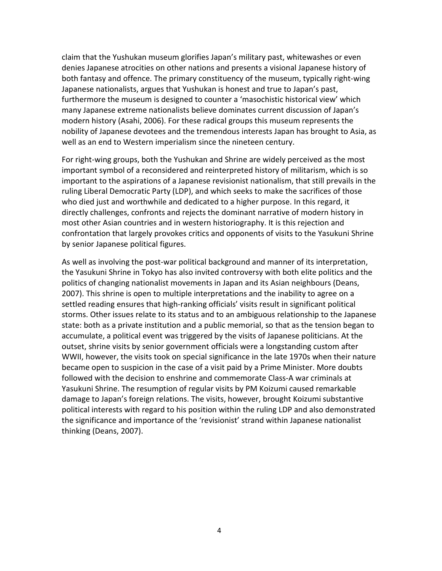claim that the Yushukan museum glorifies Japan's military past, whitewashes or even denies Japanese atrocities on other nations and presents a visional Japanese history of both fantasy and offence. The primary constituency of the museum, typically right-wing Japanese nationalists, argues that Yushukan is honest and true to Japan's past, furthermore the museum is designed to counter a 'masochistic historical view' which many Japanese extreme nationalists believe dominates current discussion of Japan's modern history (Asahi, 2006). For these radical groups this museum represents the nobility of Japanese devotees and the tremendous interests Japan has brought to Asia, as well as an end to Western imperialism since the nineteen century.

For right-wing groups, both the Yushukan and Shrine are widely perceived as the most important symbol of a reconsidered and reinterpreted history of militarism, which is so important to the aspirations of a Japanese revisionist nationalism, that still prevails in the ruling Liberal Democratic Party (LDP), and which seeks to make the sacrifices of those who died just and worthwhile and dedicated to a higher purpose. In this regard, it directly challenges, confronts and rejects the dominant narrative of modern history in most other Asian countries and in western historiography. It is this rejection and confrontation that largely provokes critics and opponents of visits to the Yasukuni Shrine by senior Japanese political figures.

As well as involving the post-war political background and manner of its interpretation, the Yasukuni Shrine in Tokyo has also invited controversy with both elite politics and the politics of changing nationalist movements in Japan and its Asian neighbours (Deans, 2007). This shrine is open to multiple interpretations and the inability to agree on a settled reading ensures that high-ranking officials' visits result in significant political storms. Other issues relate to its status and to an ambiguous relationship to the Japanese state: both as a private institution and a public memorial, so that as the tension began to accumulate, a political event was triggered by the visits of Japanese politicians. At the outset, shrine visits by senior government officials were a longstanding custom after WWII, however, the visits took on special significance in the late 1970s when their nature became open to suspicion in the case of a visit paid by a Prime Minister. More doubts followed with the decision to enshrine and commemorate Class-A war criminals at Yasukuni Shrine. The resumption of regular visits by PM Koizumi caused remarkable damage to Japan's foreign relations. The visits, however, brought Koizumi substantive political interests with regard to his position within the ruling LDP and also demonstrated the significance and importance of the 'revisionist' strand within Japanese nationalist thinking (Deans, 2007).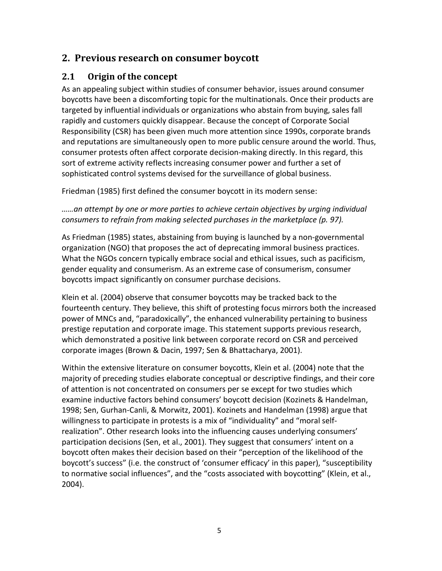# **2. Previous research on consumer boycott**

### **2.1 Origin of the concept**

As an appealing subject within studies of consumer behavior, issues around consumer boycotts have been a discomforting topic for the multinationals. Once their products are targeted by influential individuals or organizations who abstain from buying, sales fall rapidly and customers quickly disappear. Because the concept of Corporate Social Responsibility (CSR) has been given much more attention since 1990s, corporate brands and reputations are simultaneously open to more public censure around the world. Thus, consumer protests often affect corporate decision-making directly. In this regard, this sort of extreme activity reflects increasing consumer power and further a set of sophisticated control systems devised for the surveillance of global business.

Friedman (1985) first defined the consumer boycott in its modern sense:

*……an attempt by one or more parties to achieve certain objectives by urging individual consumers to refrain from making selected purchases in the marketplace (p. 97).*

As Friedman (1985) states, abstaining from buying is launched by a non-governmental organization (NGO) that proposes the act of deprecating immoral business practices. What the NGOs concern typically embrace social and ethical issues, such as pacificism, gender equality and consumerism. As an extreme case of consumerism, consumer boycotts impact significantly on consumer purchase decisions.

Klein et al. (2004) observe that consumer boycotts may be tracked back to the fourteenth century. They believe, this shift of protesting focus mirrors both the increased power of MNCs and, "paradoxically", the enhanced vulnerability pertaining to business prestige reputation and corporate image. This statement supports previous research, which demonstrated a positive link between corporate record on CSR and perceived corporate images (Brown & Dacin, 1997; Sen & Bhattacharya, 2001).

Within the extensive literature on consumer boycotts, Klein et al. (2004) note that the majority of preceding studies elaborate conceptual or descriptive findings, and their core of attention is not concentrated on consumers per se except for two studies which examine inductive factors behind consumers' boycott decision (Kozinets & Handelman, 1998; Sen, Gurhan-Canli, & Morwitz, 2001). Kozinets and Handelman (1998) argue that willingness to participate in protests is a mix of "individuality" and "moral selfrealization". Other research looks into the influencing causes underlying consumers' participation decisions (Sen, et al., 2001). They suggest that consumers' intent on a boycott often makes their decision based on their "perception of the likelihood of the boycott's success" (i.e. the construct of 'consumer efficacy' in this paper), "susceptibility to normative social influences", and the "costs associated with boycotting" (Klein, et al., 2004).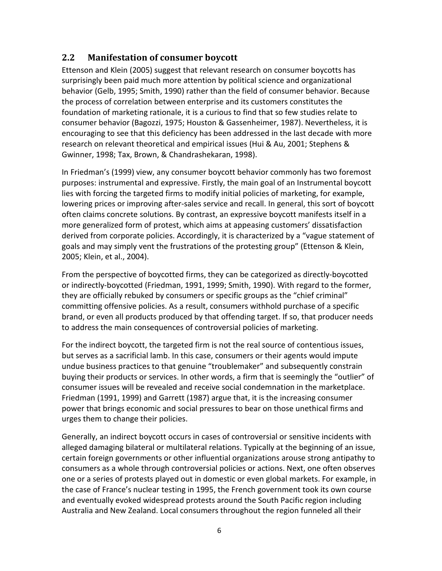### **2.2 Manifestation of consumer boycott**

Ettenson and Klein (2005) suggest that relevant research on consumer boycotts has surprisingly been paid much more attention by political science and organizational behavior (Gelb, 1995; Smith, 1990) rather than the field of consumer behavior. Because the process of correlation between enterprise and its customers constitutes the foundation of marketing rationale, it is a curious to find that so few studies relate to consumer behavior (Bagozzi, 1975; Houston & Gassenheimer, 1987). Nevertheless, it is encouraging to see that this deficiency has been addressed in the last decade with more research on relevant theoretical and empirical issues (Hui & Au, 2001; Stephens & Gwinner, 1998; Tax, Brown, & Chandrashekaran, 1998).

In Friedman's (1999) view, any consumer boycott behavior commonly has two foremost purposes: instrumental and expressive. Firstly, the main goal of an Instrumental boycott lies with forcing the targeted firms to modify initial policies of marketing, for example, lowering prices or improving after-sales service and recall. In general, this sort of boycott often claims concrete solutions. By contrast, an expressive boycott manifests itself in a more generalized form of protest, which aims at appeasing customers' dissatisfaction derived from corporate policies. Accordingly, it is characterized by a "vague statement of goals and may simply vent the frustrations of the protesting group" (Ettenson & Klein, 2005; Klein, et al., 2004).

From the perspective of boycotted firms, they can be categorized as directly-boycotted or indirectly-boycotted (Friedman, 1991, 1999; Smith, 1990). With regard to the former, they are officially rebuked by consumers or specific groups as the "chief criminal" committing offensive policies. As a result, consumers withhold purchase of a specific brand, or even all products produced by that offending target. If so, that producer needs to address the main consequences of controversial policies of marketing.

For the indirect boycott, the targeted firm is not the real source of contentious issues, but serves as a sacrificial lamb. In this case, consumers or their agents would impute undue business practices to that genuine "troublemaker" and subsequently constrain buying their products or services. In other words, a firm that is seemingly the "outlier" of consumer issues will be revealed and receive social condemnation in the marketplace. Friedman (1991, 1999) and Garrett (1987) argue that, it is the increasing consumer power that brings economic and social pressures to bear on those unethical firms and urges them to change their policies.

Generally, an indirect boycott occurs in cases of controversial or sensitive incidents with alleged damaging bilateral or multilateral relations. Typically at the beginning of an issue, certain foreign governments or other influential organizations arouse strong antipathy to consumers as a whole through controversial policies or actions. Next, one often observes one or a series of protests played out in domestic or even global markets. For example, in the case of France's nuclear testing in 1995, the French government took its own course and eventually evoked widespread protests around the South Pacific region including Australia and New Zealand. Local consumers throughout the region funneled all their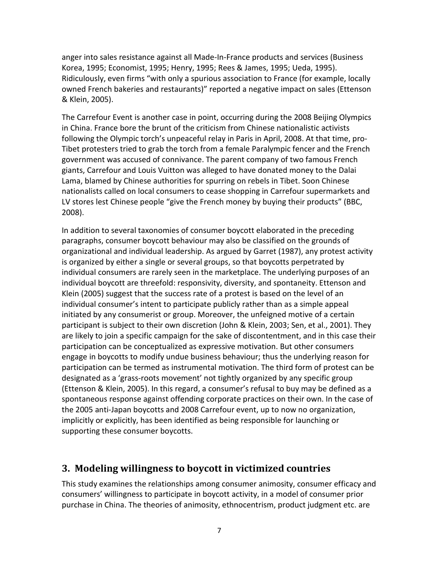anger into sales resistance against all Made-In-France products and services (Business Korea, 1995; Economist, 1995; Henry, 1995; Rees & James, 1995; Ueda, 1995). Ridiculously, even firms "with only a spurious association to France (for example, locally owned French bakeries and restaurants)" reported a negative impact on sales (Ettenson & Klein, 2005).

The Carrefour Event is another case in point, occurring during the 2008 Beijing Olympics in China. France bore the brunt of the criticism from Chinese nationalistic activists following the Olympic torch's unpeaceful relay in Paris in April, 2008. At that time, pro-Tibet protesters tried to grab the torch from a female Paralympic fencer and the French government was accused of connivance. The parent company of two famous French giants, Carrefour and Louis Vuitton was alleged to have donated money to the Dalai Lama, blamed by Chinese authorities for spurring on rebels in Tibet. Soon Chinese nationalists called on local consumers to cease shopping in Carrefour supermarkets and LV stores lest Chinese people "give the French money by buying their products" (BBC, 2008).

In addition to several taxonomies of consumer boycott elaborated in the preceding paragraphs, consumer boycott behaviour may also be classified on the grounds of organizational and individual leadership. As argued by Garret (1987), any protest activity is organized by either a single or several groups, so that boycotts perpetrated by individual consumers are rarely seen in the marketplace. The underlying purposes of an individual boycott are threefold: responsivity, diversity, and spontaneity. Ettenson and Klein (2005) suggest that the success rate of a protest is based on the level of an individual consumer's intent to participate publicly rather than as a simple appeal initiated by any consumerist or group. Moreover, the unfeigned motive of a certain participant is subject to their own discretion (John & Klein, 2003; Sen, et al., 2001). They are likely to join a specific campaign for the sake of discontentment, and in this case their participation can be conceptualized as expressive motivation. But other consumers engage in boycotts to modify undue business behaviour; thus the underlying reason for participation can be termed as instrumental motivation. The third form of protest can be designated as a 'grass-roots movement' not tightly organized by any specific group (Ettenson & Klein, 2005). In this regard, a consumer's refusal to buy may be defined as a spontaneous response against offending corporate practices on their own. In the case of the 2005 anti-Japan boycotts and 2008 Carrefour event, up to now no organization, implicitly or explicitly, has been identified as being responsible for launching or supporting these consumer boycotts.

### **3. Modeling willingness to boycott in victimized countries**

This study examines the relationships among consumer animosity, consumer efficacy and consumers' willingness to participate in boycott activity, in a model of consumer prior purchase in China. The theories of animosity, ethnocentrism, product judgment etc. are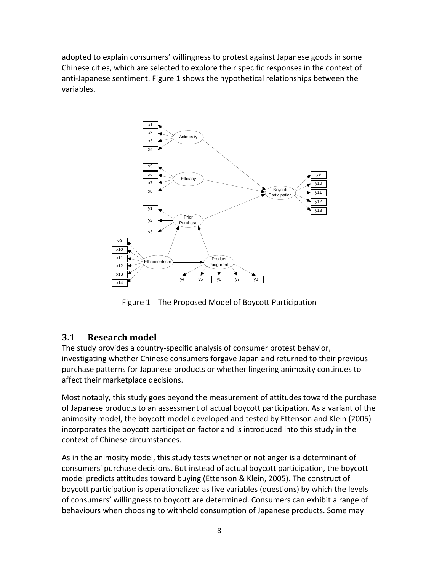adopted to explain consumers' willingness to protest against Japanese goods in some Chinese cities, which are selected to explore their specific responses in the context of anti-Japanese sentiment. [Figure 1](#page-8-0) shows the hypothetical relationships between the variables.



Figure 1 The Proposed Model of Boycott Participation

### <span id="page-8-0"></span>**3.1 Research model**

The study provides a country-specific analysis of consumer protest behavior, investigating whether Chinese consumers forgave Japan and returned to their previous purchase patterns for Japanese products or whether lingering animosity continues to affect their marketplace decisions.

Most notably, this study goes beyond the measurement of attitudes toward the purchase of Japanese products to an assessment of actual boycott participation. As a variant of the animosity model, the boycott model developed and tested by Ettenson and Klein (2005) incorporates the boycott participation factor and is introduced into this study in the context of Chinese circumstances.

As in the animosity model, this study tests whether or not anger is a determinant of consumers' purchase decisions. But instead of actual boycott participation, the boycott model predicts attitudes toward buying (Ettenson & Klein, 2005). The construct of boycott participation is operationalized as five variables (questions) by which the levels of consumers' willingness to boycott are determined. Consumers can exhibit a range of behaviours when choosing to withhold consumption of Japanese products. Some may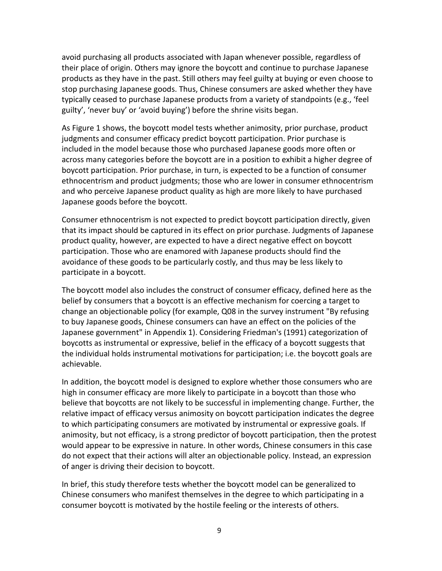avoid purchasing all products associated with Japan whenever possible, regardless of their place of origin. Others may ignore the boycott and continue to purchase Japanese products as they have in the past. Still others may feel guilty at buying or even choose to stop purchasing Japanese goods. Thus, Chinese consumers are asked whether they have typically ceased to purchase Japanese products from a variety of standpoints (e.g., 'feel guilty', 'never buy' or 'avoid buying') before the shrine visits began.

As [Figure 1](#page-8-0) shows, the boycott model tests whether animosity, prior purchase, product judgments and consumer efficacy predict boycott participation. Prior purchase is included in the model because those who purchased Japanese goods more often or across many categories before the boycott are in a position to exhibit a higher degree of boycott participation. Prior purchase, in turn, is expected to be a function of consumer ethnocentrism and product judgments; those who are lower in consumer ethnocentrism and who perceive Japanese product quality as high are more likely to have purchased Japanese goods before the boycott.

Consumer ethnocentrism is not expected to predict boycott participation directly, given that its impact should be captured in its effect on prior purchase. Judgments of Japanese product quality, however, are expected to have a direct negative effect on boycott participation. Those who are enamored with Japanese products should find the avoidance of these goods to be particularly costly, and thus may be less likely to participate in a boycott.

The boycott model also includes the construct of consumer efficacy, defined here as the belief by consumers that a boycott is an effective mechanism for coercing a target to change an objectionable policy (for example, Q08 in the survey instrument "By refusing to buy Japanese goods, Chinese consumers can have an effect on the policies of the Japanese government" in Appendix 1). Considering Friedman's (1991) categorization of boycotts as instrumental or expressive, belief in the efficacy of a boycott suggests that the individual holds instrumental motivations for participation; i.e. the boycott goals are achievable.

In addition, the boycott model is designed to explore whether those consumers who are high in consumer efficacy are more likely to participate in a boycott than those who believe that boycotts are not likely to be successful in implementing change. Further, the relative impact of efficacy versus animosity on boycott participation indicates the degree to which participating consumers are motivated by instrumental or expressive goals. If animosity, but not efficacy, is a strong predictor of boycott participation, then the protest would appear to be expressive in nature. In other words, Chinese consumers in this case do not expect that their actions will alter an objectionable policy. Instead, an expression of anger is driving their decision to boycott.

In brief, this study therefore tests whether the boycott model can be generalized to Chinese consumers who manifest themselves in the degree to which participating in a consumer boycott is motivated by the hostile feeling or the interests of others.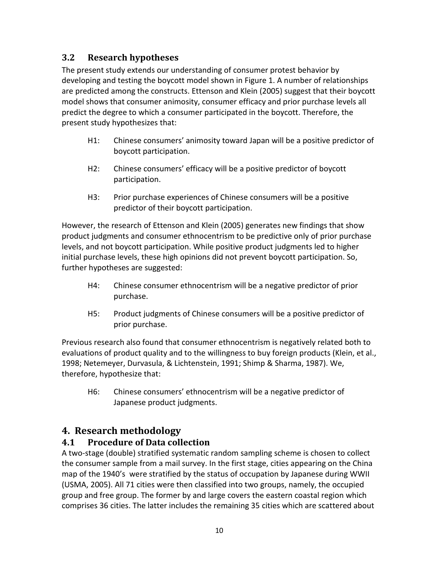### **3.2 Research hypotheses**

The present study extends our understanding of consumer protest behavior by developing and testing the boycott model shown in [Figure 1.](#page-8-0) A number of relationships are predicted among the constructs. Ettenson and Klein (2005) suggest that their boycott model shows that consumer animosity, consumer efficacy and prior purchase levels all predict the degree to which a consumer participated in the boycott. Therefore, the present study hypothesizes that:

- H1: Chinese consumers' animosity toward Japan will be a positive predictor of boycott participation.
- H2: Chinese consumers' efficacy will be a positive predictor of boycott participation.
- H3: Prior purchase experiences of Chinese consumers will be a positive predictor of their boycott participation.

However, the research of Ettenson and Klein (2005) generates new findings that show product judgments and consumer ethnocentrism to be predictive only of prior purchase levels, and not boycott participation. While positive product judgments led to higher initial purchase levels, these high opinions did not prevent boycott participation. So, further hypotheses are suggested:

- H4: Chinese consumer ethnocentrism will be a negative predictor of prior purchase.
- H5: Product judgments of Chinese consumers will be a positive predictor of prior purchase.

Previous research also found that consumer ethnocentrism is negatively related both to evaluations of product quality and to the willingness to buy foreign products (Klein, et al., 1998; Netemeyer, Durvasula, & Lichtenstein, 1991; Shimp & Sharma, 1987). We, therefore, hypothesize that:

H6: Chinese consumers' ethnocentrism will be a negative predictor of Japanese product judgments.

# **4. Research methodology**

### **4.1 Procedure of Data collection**

A two-stage (double) stratified systematic random sampling scheme is chosen to collect the consumer sample from a mail survey. In the first stage, cities appearing on the China map of the 1940's were stratified by the status of occupation by Japanese during WWII (USMA, 2005). All 71 cities were then classified into two groups, namely, the occupied group and free group. The former by and large covers the eastern coastal region which comprises 36 cities. The latter includes the remaining 35 cities which are scattered about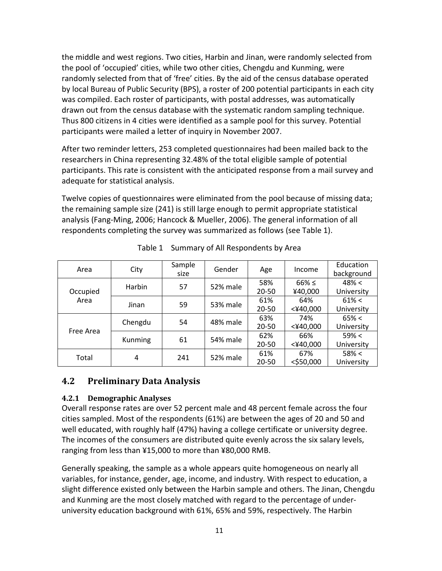the middle and west regions. Two cities, Harbin and Jinan, were randomly selected from the pool of 'occupied' cities, while two other cities, Chengdu and Kunming, were randomly selected from that of 'free' cities. By the aid of the census database operated by local Bureau of Public Security (BPS), a roster of 200 potential participants in each city was compiled. Each roster of participants, with postal addresses, was automatically drawn out from the census database with the systematic random sampling technique. Thus 800 citizens in 4 cities were identified as a sample pool for this survey. Potential participants were mailed a letter of inquiry in November 2007.

After two reminder letters, 253 completed questionnaires had been mailed back to the researchers in China representing 32.48% of the total eligible sample of potential participants. This rate is consistent with the anticipated response from a mail survey and adequate for statistical analysis.

Twelve copies of questionnaires were eliminated from the pool because of missing data; the remaining sample size (241) is still large enough to permit appropriate statistical analysis (Fang-Ming, 2006; Hancock & Mueller, 2006). The general information of all respondents completing the survey was summarized as follows (se[e Table 1\)](#page-11-0).

<span id="page-11-0"></span>

| Area      | City         | Sample<br>size | Gender   | Age              | Income                 | Education<br>background |
|-----------|--------------|----------------|----------|------------------|------------------------|-------------------------|
| Occupied  | 57<br>Harbin |                | 52% male | 58%<br>$20 - 50$ | $66\% \leq$<br>¥40,000 | 48% <<br>University     |
| Area      | Jinan        | 59             | 53% male | 61%<br>$20 - 50$ | 64%<br><¥40,000        | $61\% <$<br>University  |
|           | Chengdu      | 54             | 48% male | 63%<br>$20 - 50$ | 74%<br><¥40,000        | 65% <<br>University     |
| Free Area | Kunming      | 61             | 54% male | 62%<br>$20 - 50$ | 66%<br><¥40,000        | 59% <<br>University     |
| Total     | 4            | 241            | 52% male | 61%<br>$20 - 50$ | 67%<br>$<$ \$50,000    | 58% <<br>University     |

Table 1 Summary of All Respondents by Area

### **4.2 Preliminary Data Analysis**

### **4.2.1 Demographic Analyses**

Overall response rates are over 52 percent male and 48 percent female across the four cities sampled. Most of the respondents (61%) are between the ages of 20 and 50 and well educated, with roughly half (47%) having a college certificate or university degree. The incomes of the consumers are distributed quite evenly across the six salary levels, ranging from less than ¥15,000 to more than ¥80,000 RMB.

Generally speaking, the sample as a whole appears quite homogeneous on nearly all variables, for instance, gender, age, income, and industry. With respect to education, a slight difference existed only between the Harbin sample and others. The Jinan, Chengdu and Kunming are the most closely matched with regard to the percentage of underuniversity education background with 61%, 65% and 59%, respectively. The Harbin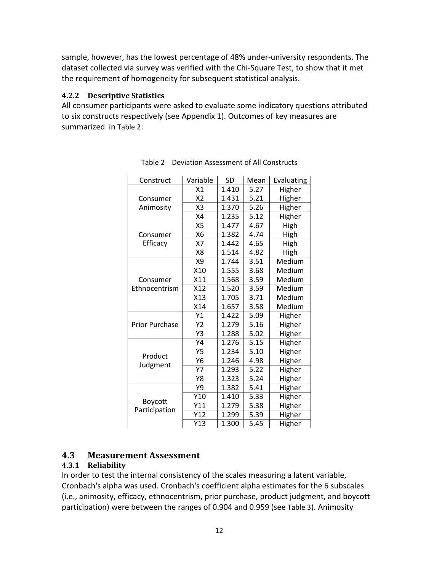sample, however, has the lowest percentage of 48% under-university respondents. The dataset collected via survey was verified with the Chi-Square Test, to show that it met the requirement of homogeneity for subsequent statistical analysis.

#### **4.2.2 Descriptive Statistics**

<span id="page-12-0"></span>All consumer participants were asked to evaluate some indicatory questions attributed to six constructs respectively (see Appendix 1). Outcomes of key measures are summarized i[n Table 2:](#page-12-0)

| Construct                       | Variable | <b>SD</b> | Mean | Evaluating |
|---------------------------------|----------|-----------|------|------------|
|                                 | Χ1       | 1.410     | 5.27 | Higher     |
| Consumer                        | X2       | 1.431     | 5.21 | Higher     |
| Animosity                       | X3       | 1.370     | 5.26 | Higher     |
|                                 | Χ4       | 1.235     | 5.12 | Higher     |
|                                 | X5       | 1.477     | 4.67 | High       |
| Consumer<br>Efficacy            | X6       | 1.382     | 4.74 | High       |
|                                 | Χ7       | 1.442     | 4.65 | High       |
|                                 | X8       | 1.514     | 4.82 | High       |
|                                 | Х9       | 1.744     | 3.51 | Medium     |
| Consumer<br>Ethnocentrism       | X10      | 1.555     | 3.68 | Medium     |
|                                 | X11      | 1.568     | 3.59 | Medium     |
|                                 | X12      | 1.520     | 3.59 | Medium     |
|                                 | X13      | 1.705     | 3.71 | Medium     |
|                                 | X14      | 1.657     | 3.58 | Medium     |
|                                 | Υ1       | 1.422     | 5.09 | Higher     |
| <b>Prior Purchase</b>           | Y2       | 1.279     | 5.16 | Higher     |
|                                 | Y3       | 1.288     | 5.02 | Higher     |
|                                 | Υ4       | 1.276     | 5.15 | Higher     |
| Product                         | Y5       | 1.234     | 5.10 | Higher     |
| Judgment                        | Υ6       | 1.246     | 4.98 | Higher     |
|                                 | Υ7       | 1.293     | 5.22 | Higher     |
|                                 | Υ8       | 1.323     | 5.24 | Higher     |
|                                 | Υ9       | 1.382     | 5.41 | Higher     |
|                                 | Y10      | 1.410     | 5.33 | Higher     |
| <b>Boycott</b><br>Participation | Y11      | 1.279     | 5.38 | Higher     |
|                                 | Y12      | 1.299     | 5.39 | Higher     |
|                                 | Y13      | 1.300     | 5.45 | Higher     |

Table 2 Deviation Assessment of All Constructs

### **4.3 Measurement Assessment**

### **4.3.1 Reliability**

In order to test the internal consistency of the scales measuring a latent variable, Cronbach's alpha was used. Cronbach's coefficient alpha estimates for the 6 subscales (i.e., animosity, efficacy, ethnocentrism, prior purchase, product judgment, and boycott participation) were between the ranges of 0.904 and 0.959 (see [Table 3\)](#page-13-0). Animosity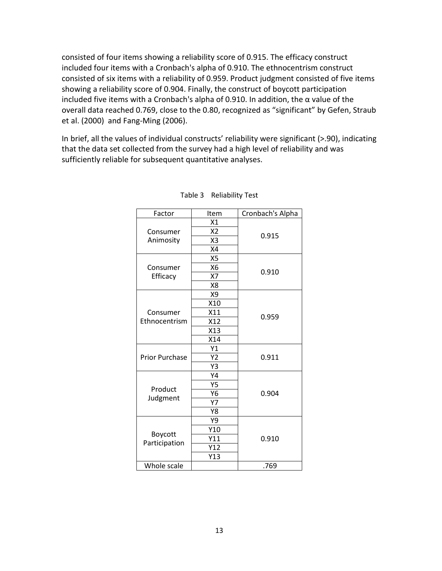consisted of four items showing a reliability score of 0.915. The efficacy construct included four items with a Cronbach's alpha of 0.910. The ethnocentrism construct consisted of six items with a reliability of 0.959. Product judgment consisted of five items showing a reliability score of 0.904. Finally, the construct of boycott participation included five items with a Cronbach's alpha of 0.910. In addition, the  $\alpha$  value of the overall data reached 0.769, close to the 0.80, recognized as "significant" by Gefen, Straub et al. (2000) and Fang-Ming (2006).

<span id="page-13-0"></span>In brief, all the values of individual constructs' reliability were significant (>.90), indicating that the data set collected from the survey had a high level of reliability and was sufficiently reliable for subsequent quantitative analyses.

| Factor                | Item | Cronbach's Alpha |
|-----------------------|------|------------------|
|                       | X1   |                  |
| Consumer              | X2   | 0.915            |
| Animosity             | X3   |                  |
|                       | X4   |                  |
|                       | X5   |                  |
| Consumer              | X6   | 0.910            |
| Efficacy              | X7   |                  |
|                       | X8   |                  |
|                       | X9   |                  |
|                       | X10  |                  |
| Consumer              | X11  | 0.959            |
| Ethnocentrism         | X12  |                  |
|                       | X13  |                  |
|                       | X14  |                  |
|                       | Υ1   |                  |
| <b>Prior Purchase</b> | Y2   | 0.911            |
|                       | Y3   |                  |
|                       | Υ4   |                  |
| Product               | Y5   |                  |
|                       | Y6   | 0.904            |
| Judgment              | Y7   |                  |
|                       | Y8   |                  |
|                       | Υ9   |                  |
|                       | Y10  |                  |
| Boycott               | Y11  | 0.910            |
| Participation         | Y12  |                  |
|                       | Y13  |                  |
| Whole scale           |      | .769             |

Table 3 Reliability Test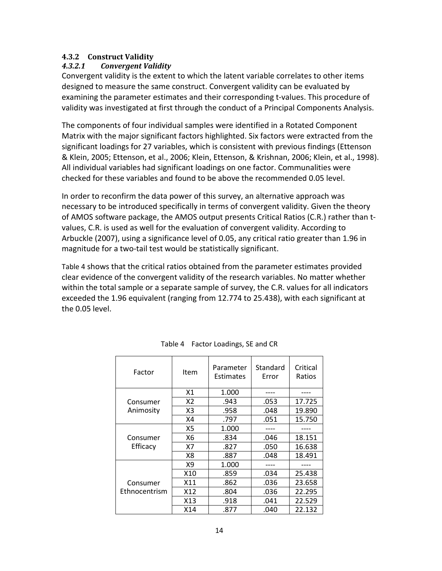#### **4.3.2 Construct Validity**

#### *4.3.2.1 Convergent Validity*

Convergent validity is the extent to which the latent variable correlates to other items designed to measure the same construct. Convergent validity can be evaluated by examining the parameter estimates and their corresponding t-values. This procedure of validity was investigated at first through the conduct of a Principal Components Analysis.

The components of four individual samples were identified in a Rotated Component Matrix with the major significant factors highlighted. Six factors were extracted from the significant loadings for 27 variables, which is consistent with previous findings (Ettenson & Klein, 2005; Ettenson, et al., 2006; Klein, Ettenson, & Krishnan, 2006; Klein, et al., 1998). All individual variables had significant loadings on one factor. Communalities were checked for these variables and found to be above the recommended 0.05 level.

In order to reconfirm the data power of this survey, an alternative approach was necessary to be introduced specifically in terms of convergent validity. Given the theory of AMOS software package, the AMOS output presents Critical Ratios (C.R.) rather than tvalues, C.R. is used as well for the evaluation of convergent validity. According to Arbuckle (2007), using a significance level of 0.05, any critical ratio greater than 1.96 in magnitude for a two-tail test would be statistically significant.

[Table 4](#page-14-0) shows that the critical ratios obtained from the parameter estimates provided clear evidence of the convergent validity of the research variables. No matter whether within the total sample or a separate sample of survey, the C.R. values for all indicators exceeded the 1.96 equivalent (ranging from 12.774 to 25.438), with each significant at the 0.05 level.

<span id="page-14-0"></span>

| Factor        | Item | Parameter<br><b>Estimates</b> | Standard<br>Error | Critical<br>Ratios |
|---------------|------|-------------------------------|-------------------|--------------------|
|               | X1   | 1.000                         |                   |                    |
| Consumer      | X2   | .943                          | .053              | 17.725             |
| Animosity     | X3   | .958                          | .048              | 19.890             |
|               | X4   | .797                          | .051              | 15.750             |
|               | X5   | 1.000                         |                   |                    |
| Consumer      | Х6   | .834                          | .046              | 18.151             |
| Efficacy      | Х7   | .827                          | .050              | 16.638             |
|               | Х8   | .887                          | .048              | 18.491             |
|               | Х9   | 1.000                         |                   |                    |
|               | X10  | .859                          | .034              | 25.438             |
| Consumer      | X11  | .862                          | .036              | 23.658             |
| Ethnocentrism | X12  | .804                          | .036              | 22.295             |
|               | X13  | .918                          | .041              | 22.529             |
|               | X14  | .877                          | .040              | 22.132             |

Table 4 Factor Loadings, SE and CR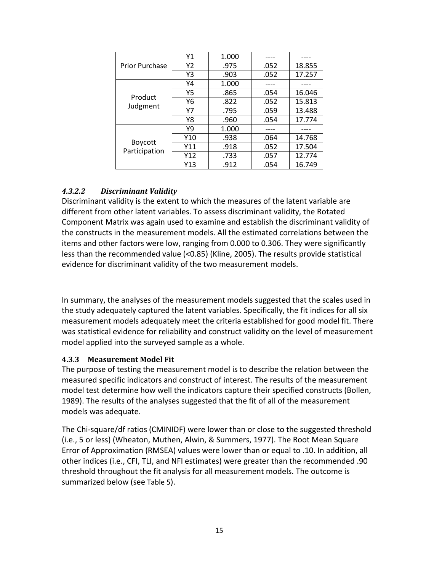|                                 | Υ1  | 1.000 |      |        |
|---------------------------------|-----|-------|------|--------|
| Prior Purchase                  | Y2  | .975  | .052 | 18.855 |
|                                 | Y3  | .903  | .052 | 17.257 |
|                                 | Y4  | 1.000 |      |        |
| Product                         | Y5  | .865  | .054 | 16.046 |
| Judgment                        | Y6  | .822  | .052 | 15.813 |
|                                 | Υ7  | .795  | .059 | 13.488 |
|                                 | Y8  | .960  | .054 | 17.774 |
|                                 | Y9  | 1.000 |      |        |
| <b>Boycott</b><br>Participation | Y10 | .938  | .064 | 14.768 |
|                                 | Y11 | .918  | .052 | 17.504 |
|                                 | Y12 | .733  | .057 | 12.774 |
|                                 | Y13 | .912  | .054 | 16.749 |

#### *4.3.2.2 Discriminant Validity*

Discriminant validity is the extent to which the measures of the latent variable are different from other latent variables. To assess discriminant validity, the Rotated Component Matrix was again used to examine and establish the discriminant validity of the constructs in the measurement models. All the estimated correlations between the items and other factors were low, ranging from 0.000 to 0.306. They were significantly less than the recommended value (<0.85) (Kline, 2005). The results provide statistical evidence for discriminant validity of the two measurement models.

In summary, the analyses of the measurement models suggested that the scales used in the study adequately captured the latent variables. Specifically, the fit indices for all six measurement models adequately meet the criteria established for good model fit. There was statistical evidence for reliability and construct validity on the level of measurement model applied into the surveyed sample as a whole.

#### **4.3.3 Measurement Model Fit**

The purpose of testing the measurement model is to describe the relation between the measured specific indicators and construct of interest. The results of the measurement model test determine how well the indicators capture their specified constructs (Bollen, 1989). The results of the analyses suggested that the fit of all of the measurement models was adequate.

<span id="page-15-0"></span>The Chi-square/df ratios (CMINIDF) were lower than or close to the suggested threshold (i.e., 5 or less) (Wheaton, Muthen, Alwin, & Summers, 1977). The Root Mean Square Error of Approximation (RMSEA) values were lower than or equal to .10. In addition, all other indices (i.e., CFI, TLI, and NFI estimates) were greater than the recommended .90 threshold throughout the fit analysis for all measurement models. The outcome is summarized below (see [Table 5\)](#page-15-0).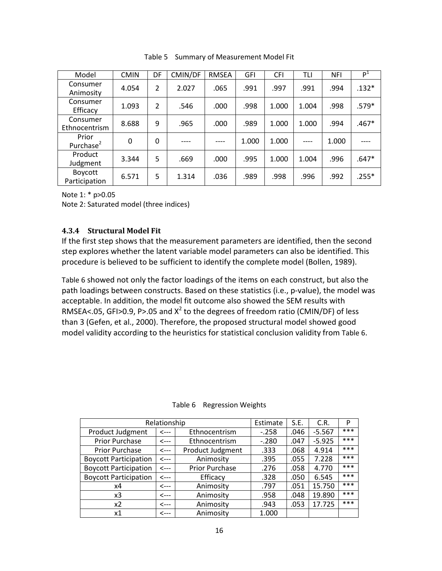| Model                           | <b>CMIN</b>  | DF | CMIN/DF | RMSEA | GFI   | <b>CFI</b> | TLI   | <b>NFI</b> | P <sup>1</sup> |
|---------------------------------|--------------|----|---------|-------|-------|------------|-------|------------|----------------|
| Consumer<br>Animosity           | 4.054        | 2  | 2.027   | .065  | .991  | .997       | .991  | .994       | $.132*$        |
| Consumer<br>Efficacy            | 1.093        | 2  | .546    | .000  | .998  | 1.000      | 1.004 | .998       | $.579*$        |
| Consumer<br>Ethnocentrism       | 8.688        | 9  | .965    | .000  | .989  | 1.000      | 1.000 | .994       | $.467*$        |
| Prior<br>Purchase <sup>2</sup>  | $\mathbf{0}$ | 0  |         | ----  | 1.000 | 1.000      | ----  | 1.000      |                |
| Product<br>Judgment             | 3.344        | 5  | .669    | .000  | .995  | 1.000      | 1.004 | .996       | $.647*$        |
| <b>Boycott</b><br>Participation | 6.571        | 5  | 1.314   | .036  | .989  | .998       | .996  | .992       | $.255*$        |

Table 5 Summary of Measurement Model Fit

Note 1: \* p>0.05

Note 2: Saturated model (three indices)

#### **4.3.4 Structural Model Fit**

If the first step shows that the measurement parameters are identified, then the second step explores whether the latent variable model parameters can also be identified. This procedure is believed to be sufficient to identify the complete model (Bollen, 1989).

<span id="page-16-0"></span>[Table 6](#page-16-0) showed not only the factor loadings of the items on each construct, but also the path loadings between constructs. Based on these statistics (i.e., p-value), the model was acceptable. In addition, the model fit outcome also showed the SEM results with RMSEA<.05, GFI>0.9, P>.05 and  $X^2$  to the degrees of freedom ratio (CMIN/DF) of less than 3 (Gefen, et al., 2000). Therefore, the proposed structural model showed good model validity according to the heuristics for statistical conclusion validity from [Table 6.](#page-16-0)

| Relationship                 |                  |                       | Estimate | S.E. | C.R.     | P   |
|------------------------------|------------------|-----------------------|----------|------|----------|-----|
| Product Judgment             | $\leftarrow$     | Ethnocentrism         | $-.258$  | .046 | $-5.567$ | *** |
| Prior Purchase               | <---             | Ethnocentrism         | $-.280$  | .047 | $-5.925$ | *** |
| <b>Prior Purchase</b>        | $\leftarrow$     | Product Judgment      | .333     | .068 | 4.914    | *** |
| <b>Boycott Participation</b> | $\leftarrow$ --- | Animosity             | .395     | .055 | 7.228    | *** |
| <b>Boycott Participation</b> | $\leftarrow$ --  | <b>Prior Purchase</b> | .276     | .058 | 4.770    | *** |
| <b>Boycott Participation</b> | <---             | Efficacy              | .328     | .050 | 6.545    | *** |
| х4                           | <---             | Animosity             | .797     | .051 | 15.750   | *** |
| x3                           | <---             | Animosity             | .958     | .048 | 19.890   | *** |
| x2                           | <---             | Animosity             | .943     | .053 | 17.725   | *** |
| х1                           | <b>&lt;---</b>   | Animosity             | 1.000    |      |          |     |

Table 6 Regression Weights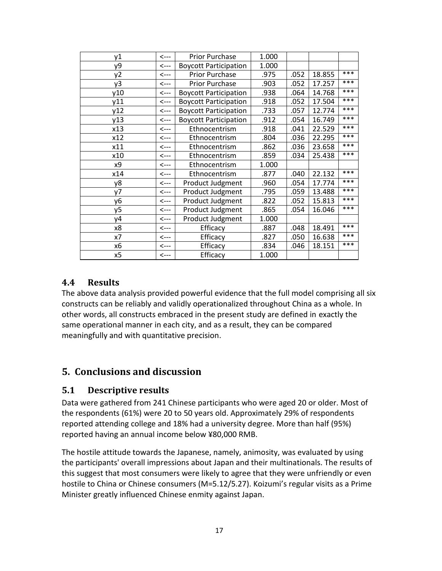| y1  | $\leftarrow$     | Prior Purchase               | 1.000 |      |        |       |
|-----|------------------|------------------------------|-------|------|--------|-------|
| y9  | $\leftarrow$ --- | <b>Boycott Participation</b> | 1.000 |      |        |       |
| y2  | $\leftarrow$ --  | Prior Purchase               | .975  | .052 | 18.855 | ***   |
| y3  | $\leftarrow$     | <b>Prior Purchase</b>        | .903  | .052 | 17.257 | ***   |
| y10 | $\leftarrow$     | <b>Boycott Participation</b> | .938  | .064 | 14.768 | ***   |
| y11 | $\leftarrow$     | <b>Boycott Participation</b> | .918  | .052 | 17.504 | ***   |
| y12 | $\leftarrow$     | <b>Boycott Participation</b> | .733  | .057 | 12.774 | ***   |
| y13 | $\leftarrow$ --- | <b>Boycott Participation</b> | .912  | .054 | 16.749 | ***   |
| x13 | $\leftarrow$     | Ethnocentrism                | .918  | .041 | 22.529 | ***   |
| x12 | $\leftarrow$ --- | Ethnocentrism                | .804  | .036 | 22.295 | ***   |
| x11 | $\leftarrow$     | Ethnocentrism                | .862  | .036 | 23.658 | $***$ |
| x10 | $\leftarrow$     | Ethnocentrism                | .859  | .034 | 25.438 | ***   |
| х9  | $\leftarrow$ --  | Ethnocentrism                | 1.000 |      |        |       |
| x14 | $\leftarrow$     | Ethnocentrism                | .877  | .040 | 22.132 | ***   |
| y8  | $\leftarrow$     | Product Judgment             | .960  | .054 | 17.774 | ***   |
| y7  | $\leftarrow$     | Product Judgment             | .795  | .059 | 13.488 | ***   |
| y6  | $\leftarrow$     | Product Judgment             | .822  | .052 | 15.813 | ***   |
| y5  | $\leftarrow$     | Product Judgment             | .865  | .054 | 16.046 | ***   |
| y4  | $\leftarrow$     | Product Judgment             | 1.000 |      |        |       |
| х8  | $\leftarrow$     | Efficacy                     | .887  | .048 | 18.491 | ***   |
| x7  | $\leftarrow$ --- | Efficacy                     | .827  | .050 | 16.638 | ***   |
| х6  | $\leftarrow$ --- | Efficacy                     | .834  | .046 | 18.151 | ***   |
| x5  | $\leftarrow$ --- | Efficacy                     | 1.000 |      |        |       |

### **4.4 Results**

The above data analysis provided powerful evidence that the full model comprising all six constructs can be reliably and validly operationalized throughout China as a whole. In other words, all constructs embraced in the present study are defined in exactly the same operational manner in each city, and as a result, they can be compared meaningfully and with quantitative precision.

# **5. Conclusions and discussion**

#### **5.1 Descriptive results**

Data were gathered from 241 Chinese participants who were aged 20 or older. Most of the respondents (61%) were 20 to 50 years old. Approximately 29% of respondents reported attending college and 18% had a university degree. More than half (95%) reported having an annual income below ¥80,000 RMB.

The hostile attitude towards the Japanese, namely, animosity, was evaluated by using the participants' overall impressions about Japan and their multinationals. The results of this suggest that most consumers were likely to agree that they were unfriendly or even hostile to China or Chinese consumers (M=5.12/5.27). Koizumi's regular visits as a Prime Minister greatly influenced Chinese enmity against Japan.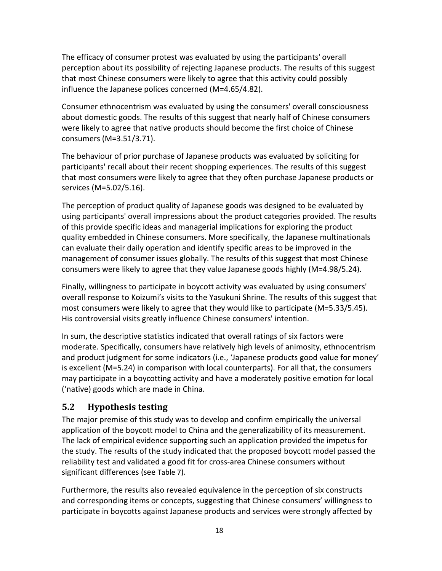The efficacy of consumer protest was evaluated by using the participants' overall perception about its possibility of rejecting Japanese products. The results of this suggest that most Chinese consumers were likely to agree that this activity could possibly influence the Japanese polices concerned (M=4.65/4.82).

Consumer ethnocentrism was evaluated by using the consumers' overall consciousness about domestic goods. The results of this suggest that nearly half of Chinese consumers were likely to agree that native products should become the first choice of Chinese consumers (M=3.51/3.71).

The behaviour of prior purchase of Japanese products was evaluated by soliciting for participants' recall about their recent shopping experiences. The results of this suggest that most consumers were likely to agree that they often purchase Japanese products or services (M=5.02/5.16).

The perception of product quality of Japanese goods was designed to be evaluated by using participants' overall impressions about the product categories provided. The results of this provide specific ideas and managerial implications for exploring the product quality embedded in Chinese consumers. More specifically, the Japanese multinationals can evaluate their daily operation and identify specific areas to be improved in the management of consumer issues globally. The results of this suggest that most Chinese consumers were likely to agree that they value Japanese goods highly (M=4.98/5.24).

Finally, willingness to participate in boycott activity was evaluated by using consumers' overall response to Koizumi's visits to the Yasukuni Shrine. The results of this suggest that most consumers were likely to agree that they would like to participate (M=5.33/5.45). His controversial visits greatly influence Chinese consumers' intention.

In sum, the descriptive statistics indicated that overall ratings of six factors were moderate. Specifically, consumers have relatively high levels of animosity, ethnocentrism and product judgment for some indicators (i.e., 'Japanese products good value for money' is excellent (M=5.24) in comparison with local counterparts). For all that, the consumers may participate in a boycotting activity and have a moderately positive emotion for local ('native) goods which are made in China.

### **5.2 Hypothesis testing**

The major premise of this study was to develop and confirm empirically the universal application of the boycott model to China and the generalizability of its measurement. The lack of empirical evidence supporting such an application provided the impetus for the study. The results of the study indicated that the proposed boycott model passed the reliability test and validated a good fit for cross-area Chinese consumers without significant differences (see [Table 7\)](#page-19-0).

Furthermore, the results also revealed equivalence in the perception of six constructs and corresponding items or concepts, suggesting that Chinese consumers' willingness to participate in boycotts against Japanese products and services were strongly affected by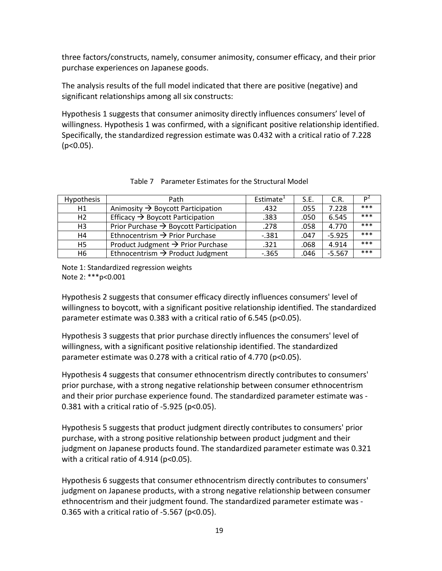three factors/constructs, namely, consumer animosity, consumer efficacy, and their prior purchase experiences on Japanese goods.

The analysis results of the full model indicated that there are positive (negative) and significant relationships among all six constructs:

Hypothesis 1 suggests that consumer animosity directly influences consumers' level of willingness. Hypothesis 1 was confirmed, with a significant positive relationship identified. Specifically, the standardized regression estimate was 0.432 with a critical ratio of 7.228 (p<0.05).

<span id="page-19-0"></span>

| Hypothesis     | Path                                               | Estimate <sup>1</sup> | S.E. | C.R.     |       |
|----------------|----------------------------------------------------|-----------------------|------|----------|-------|
| H1             | Animosity $\rightarrow$ Boycott Participation      | .432                  | .055 | 7.228    | $***$ |
| H2             | Efficacy $\rightarrow$ Boycott Participation       | .383                  | .050 | 6.545    | $***$ |
| H <sub>3</sub> | Prior Purchase $\rightarrow$ Boycott Participation | .278                  | .058 | 4.770    | $***$ |
| H4             | Ethnocentrism $\rightarrow$ Prior Purchase         | $-381$                | .047 | $-5.925$ | $***$ |
| H <sub>5</sub> | Product Judgment $\rightarrow$ Prior Purchase      | .321                  | .068 | 4.914    | $***$ |
| H <sub>6</sub> | Ethnocentrism $\rightarrow$ Product Judgment       | $-365$                | .046 | $-5.567$ | $***$ |

Table 7 Parameter Estimates for the Structural Model

Note 1: Standardized regression weights Note 2: \*\*\*p<0.001

Hypothesis 2 suggests that consumer efficacy directly influences consumers' level of willingness to boycott, with a significant positive relationship identified. The standardized parameter estimate was 0.383 with a critical ratio of 6.545 (p<0.05).

Hypothesis 3 suggests that prior purchase directly influences the consumers' level of willingness, with a significant positive relationship identified. The standardized parameter estimate was 0.278 with a critical ratio of 4.770 (p<0.05).

Hypothesis 4 suggests that consumer ethnocentrism directly contributes to consumers' prior purchase, with a strong negative relationship between consumer ethnocentrism and their prior purchase experience found. The standardized parameter estimate was - 0.381 with a critical ratio of -5.925 (p<0.05).

Hypothesis 5 suggests that product judgment directly contributes to consumers' prior purchase, with a strong positive relationship between product judgment and their judgment on Japanese products found. The standardized parameter estimate was 0.321 with a critical ratio of 4.914 (p<0.05).

Hypothesis 6 suggests that consumer ethnocentrism directly contributes to consumers' judgment on Japanese products, with a strong negative relationship between consumer ethnocentrism and their judgment found. The standardized parameter estimate was - 0.365 with a critical ratio of -5.567 (p<0.05).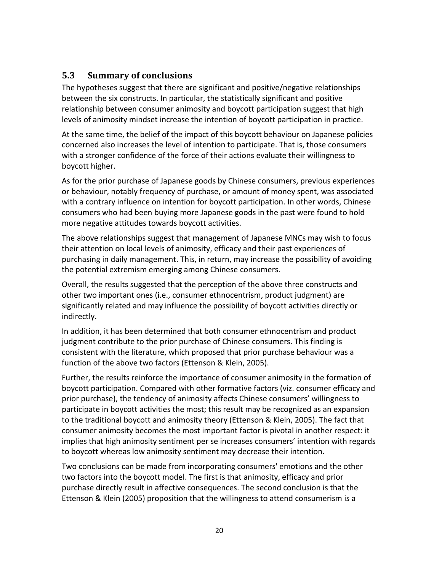### **5.3 Summary of conclusions**

The hypotheses suggest that there are significant and positive/negative relationships between the six constructs. In particular, the statistically significant and positive relationship between consumer animosity and boycott participation suggest that high levels of animosity mindset increase the intention of boycott participation in practice.

At the same time, the belief of the impact of this boycott behaviour on Japanese policies concerned also increases the level of intention to participate. That is, those consumers with a stronger confidence of the force of their actions evaluate their willingness to boycott higher.

As for the prior purchase of Japanese goods by Chinese consumers, previous experiences or behaviour, notably frequency of purchase, or amount of money spent, was associated with a contrary influence on intention for boycott participation. In other words, Chinese consumers who had been buying more Japanese goods in the past were found to hold more negative attitudes towards boycott activities.

The above relationships suggest that management of Japanese MNCs may wish to focus their attention on local levels of animosity, efficacy and their past experiences of purchasing in daily management. This, in return, may increase the possibility of avoiding the potential extremism emerging among Chinese consumers.

Overall, the results suggested that the perception of the above three constructs and other two important ones (i.e., consumer ethnocentrism, product judgment) are significantly related and may influence the possibility of boycott activities directly or indirectly.

In addition, it has been determined that both consumer ethnocentrism and product judgment contribute to the prior purchase of Chinese consumers. This finding is consistent with the literature, which proposed that prior purchase behaviour was a function of the above two factors (Ettenson & Klein, 2005).

Further, the results reinforce the importance of consumer animosity in the formation of boycott participation. Compared with other formative factors (viz. consumer efficacy and prior purchase), the tendency of animosity affects Chinese consumers' willingness to participate in boycott activities the most; this result may be recognized as an expansion to the traditional boycott and animosity theory (Ettenson & Klein, 2005). The fact that consumer animosity becomes the most important factor is pivotal in another respect: it implies that high animosity sentiment per se increases consumers' intention with regards to boycott whereas low animosity sentiment may decrease their intention.

Two conclusions can be made from incorporating consumers' emotions and the other two factors into the boycott model. The first is that animosity, efficacy and prior purchase directly result in affective consequences. The second conclusion is that the Ettenson & Klein (2005) proposition that the willingness to attend consumerism is a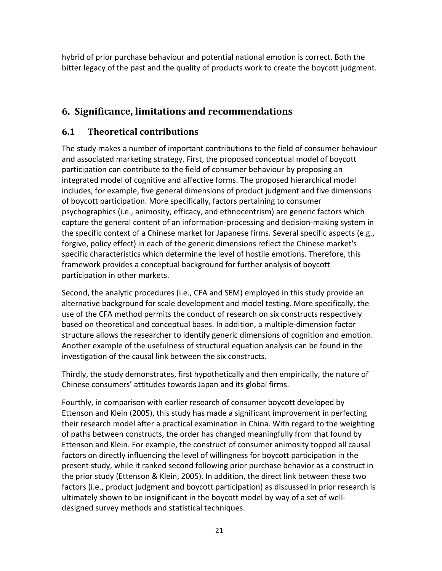hybrid of prior purchase behaviour and potential national emotion is correct. Both the bitter legacy of the past and the quality of products work to create the boycott judgment.

# **6. Significance, limitations and recommendations**

### **6.1 Theoretical contributions**

The study makes a number of important contributions to the field of consumer behaviour and associated marketing strategy. First, the proposed conceptual model of boycott participation can contribute to the field of consumer behaviour by proposing an integrated model of cognitive and affective forms. The proposed hierarchical model includes, for example, five general dimensions of product judgment and five dimensions of boycott participation. More specifically, factors pertaining to consumer psychographics (i.e., animosity, efficacy, and ethnocentrism) are generic factors which capture the general content of an information-processing and decision-making system in the specific context of a Chinese market for Japanese firms. Several specific aspects (e.g., forgive, policy effect) in each of the generic dimensions reflect the Chinese market's specific characteristics which determine the level of hostile emotions. Therefore, this framework provides a conceptual background for further analysis of boycott participation in other markets.

Second, the analytic procedures (i.e., CFA and SEM) employed in this study provide an alternative background for scale development and model testing. More specifically, the use of the CFA method permits the conduct of research on six constructs respectively based on theoretical and conceptual bases. In addition, a multiple-dimension factor structure allows the researcher to identify generic dimensions of cognition and emotion. Another example of the usefulness of structural equation analysis can be found in the investigation of the causal link between the six constructs.

Thirdly, the study demonstrates, first hypothetically and then empirically, the nature of Chinese consumers' attitudes towards Japan and its global firms.

Fourthly, in comparison with earlier research of consumer boycott developed by Ettenson and Klein (2005), this study has made a significant improvement in perfecting their research model after a practical examination in China. With regard to the weighting of paths between constructs, the order has changed meaningfully from that found by Ettenson and Klein. For example, the construct of consumer animosity topped all causal factors on directly influencing the level of willingness for boycott participation in the present study, while it ranked second following prior purchase behavior as a construct in the prior study (Ettenson & Klein, 2005). In addition, the direct link between these two factors (i.e., product judgment and boycott participation) as discussed in prior research is ultimately shown to be insignificant in the boycott model by way of a set of welldesigned survey methods and statistical techniques.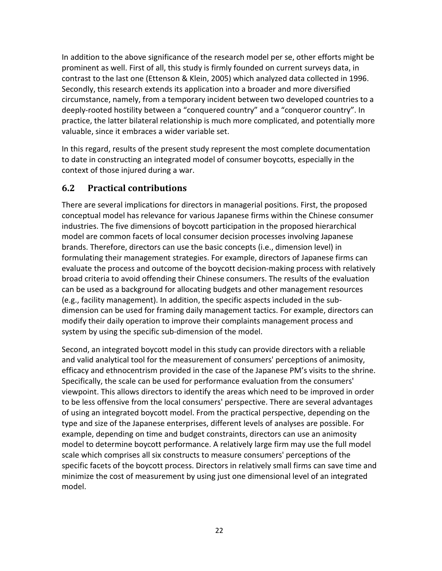In addition to the above significance of the research model per se, other efforts might be prominent as well. First of all, this study is firmly founded on current surveys data, in contrast to the last one (Ettenson & Klein, 2005) which analyzed data collected in 1996. Secondly, this research extends its application into a broader and more diversified circumstance, namely, from a temporary incident between two developed countries to a deeply-rooted hostility between a "conquered country" and a "conqueror country". In practice, the latter bilateral relationship is much more complicated, and potentially more valuable, since it embraces a wider variable set.

In this regard, results of the present study represent the most complete documentation to date in constructing an integrated model of consumer boycotts, especially in the context of those injured during a war.

### **6.2 Practical contributions**

There are several implications for directors in managerial positions. First, the proposed conceptual model has relevance for various Japanese firms within the Chinese consumer industries. The five dimensions of boycott participation in the proposed hierarchical model are common facets of local consumer decision processes involving Japanese brands. Therefore, directors can use the basic concepts (i.e., dimension level) in formulating their management strategies. For example, directors of Japanese firms can evaluate the process and outcome of the boycott decision-making process with relatively broad criteria to avoid offending their Chinese consumers. The results of the evaluation can be used as a background for allocating budgets and other management resources (e.g., facility management). In addition, the specific aspects included in the subdimension can be used for framing daily management tactics. For example, directors can modify their daily operation to improve their complaints management process and system by using the specific sub-dimension of the model.

Second, an integrated boycott model in this study can provide directors with a reliable and valid analytical tool for the measurement of consumers' perceptions of animosity, efficacy and ethnocentrism provided in the case of the Japanese PM's visits to the shrine. Specifically, the scale can be used for performance evaluation from the consumers' viewpoint. This allows directors to identify the areas which need to be improved in order to be less offensive from the local consumers' perspective. There are several advantages of using an integrated boycott model. From the practical perspective, depending on the type and size of the Japanese enterprises, different levels of analyses are possible. For example, depending on time and budget constraints, directors can use an animosity model to determine boycott performance. A relatively large firm may use the full model scale which comprises all six constructs to measure consumers' perceptions of the specific facets of the boycott process. Directors in relatively small firms can save time and minimize the cost of measurement by using just one dimensional level of an integrated model.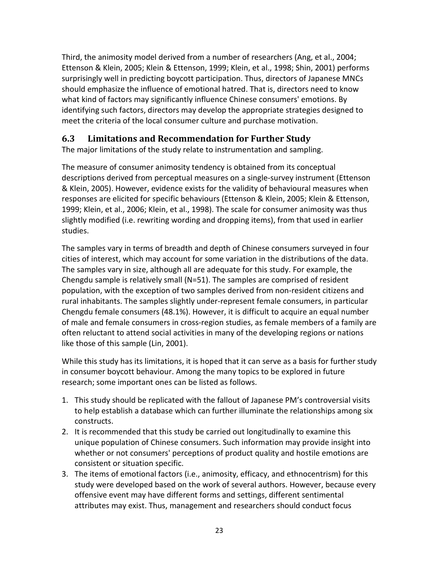Third, the animosity model derived from a number of researchers (Ang, et al., 2004; Ettenson & Klein, 2005; Klein & Ettenson, 1999; Klein, et al., 1998; Shin, 2001) performs surprisingly well in predicting boycott participation. Thus, directors of Japanese MNCs should emphasize the influence of emotional hatred. That is, directors need to know what kind of factors may significantly influence Chinese consumers' emotions. By identifying such factors, directors may develop the appropriate strategies designed to meet the criteria of the local consumer culture and purchase motivation.

### **6.3 Limitations and Recommendation for Further Study**

The major limitations of the study relate to instrumentation and sampling.

The measure of consumer animosity tendency is obtained from its conceptual descriptions derived from perceptual measures on a single-survey instrument (Ettenson & Klein, 2005). However, evidence exists for the validity of behavioural measures when responses are elicited for specific behaviours (Ettenson & Klein, 2005; Klein & Ettenson, 1999; Klein, et al., 2006; Klein, et al., 1998). The scale for consumer animosity was thus slightly modified (i.e. rewriting wording and dropping items), from that used in earlier studies.

The samples vary in terms of breadth and depth of Chinese consumers surveyed in four cities of interest, which may account for some variation in the distributions of the data. The samples vary in size, although all are adequate for this study. For example, the Chengdu sample is relatively small  $(N=51)$ . The samples are comprised of resident population, with the exception of two samples derived from non-resident citizens and rural inhabitants. The samples slightly under-represent female consumers, in particular Chengdu female consumers (48.1%). However, it is difficult to acquire an equal number of male and female consumers in cross-region studies, as female members of a family are often reluctant to attend social activities in many of the developing regions or nations like those of this sample (Lin, 2001).

While this study has its limitations, it is hoped that it can serve as a basis for further study in consumer boycott behaviour. Among the many topics to be explored in future research; some important ones can be listed as follows.

- 1. This study should be replicated with the fallout of Japanese PM's controversial visits to help establish a database which can further illuminate the relationships among six constructs.
- 2. It is recommended that this study be carried out longitudinally to examine this unique population of Chinese consumers. Such information may provide insight into whether or not consumers' perceptions of product quality and hostile emotions are consistent or situation specific.
- 3. The items of emotional factors (i.e., animosity, efficacy, and ethnocentrism) for this study were developed based on the work of several authors. However, because every offensive event may have different forms and settings, different sentimental attributes may exist. Thus, management and researchers should conduct focus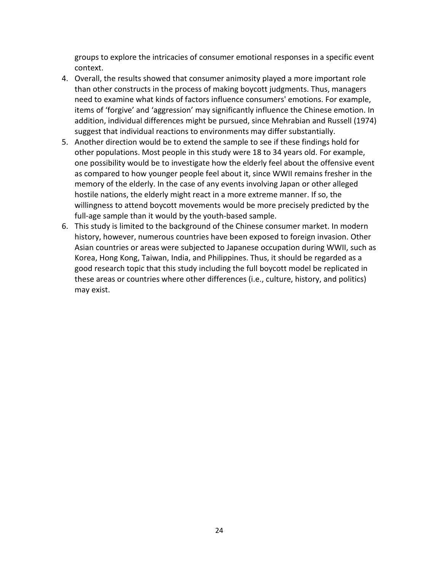groups to explore the intricacies of consumer emotional responses in a specific event context.

- 4. Overall, the results showed that consumer animosity played a more important role than other constructs in the process of making boycott judgments. Thus, managers need to examine what kinds of factors influence consumers' emotions. For example, items of 'forgive' and 'aggression' may significantly influence the Chinese emotion. In addition, individual differences might be pursued, since Mehrabian and Russell (1974) suggest that individual reactions to environments may differ substantially.
- 5. Another direction would be to extend the sample to see if these findings hold for other populations. Most people in this study were 18 to 34 years old. For example, one possibility would be to investigate how the elderly feel about the offensive event as compared to how younger people feel about it, since WWII remains fresher in the memory of the elderly. In the case of any events involving Japan or other alleged hostile nations, the elderly might react in a more extreme manner. If so, the willingness to attend boycott movements would be more precisely predicted by the full-age sample than it would by the youth-based sample.
- 6. This study is limited to the background of the Chinese consumer market. In modern history, however, numerous countries have been exposed to foreign invasion. Other Asian countries or areas were subjected to Japanese occupation during WWII, such as Korea, Hong Kong, Taiwan, India, and Philippines. Thus, it should be regarded as a good research topic that this study including the full boycott model be replicated in these areas or countries where other differences (i.e., culture, history, and politics) may exist.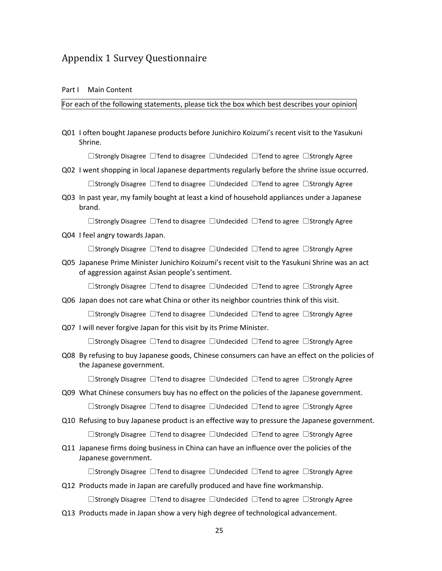#### Appendix 1 Survey Questionnaire

#### Part I Main Content

For each of the following statements, please tick the box which best describes your opinion

Q01 I often bought Japanese products before Junichiro Koizumi's recent visit to the Yasukuni Shrine.

 $□$ Strongly Disagree  $□$ Tend to disagree  $□$ Undecided  $□$ Tend to agree  $□$ Strongly Agree

- Q02 I went shopping in local Japanese departments regularly before the shrine issue occurred. □Strongly Disagree □Tend to disagree □Undecided □Tend to agree □Strongly Agree
- Q03 In past year, my family bought at least a kind of household appliances under a Japanese brand.

□Strongly Disagree □Tend to disagree □Undecided □Tend to agree □Strongly Agree

Q04 I feel angry towards Japan.

□Strongly Disagree □Tend to disagree □Undecided □Tend to agree □Strongly Agree

Q05 Japanese Prime Minister Junichiro Koizumi's recent visit to the Yasukuni Shrine was an act of aggression against Asian people's sentiment.

 $□$ Strongly Disagree  $□$ Tend to disagree  $□$ Undecided  $□$ Tend to agree  $□$ Strongly Agree

Q06 Japan does not care what China or other its neighbor countries think of this visit.

□Strongly Disagree □Tend to disagree □Undecided □Tend to agree □Strongly Agree

Q07 I will never forgive Japan for this visit by its Prime Minister.

□Strongly Disagree □Tend to disagree □Undecided □Tend to agree □Strongly Agree

Q08 By refusing to buy Japanese goods, Chinese consumers can have an effect on the policies of the Japanese government.

□Strongly Disagree □Tend to disagree □Undecided □Tend to agree □Strongly Agree

Q09 What Chinese consumers buy has no effect on the policies of the Japanese government.

□Strongly Disagree □Tend to disagree □Undecided □Tend to agree □Strongly Agree

Q10 Refusing to buy Japanese product is an effective way to pressure the Japanese government.

□Strongly Disagree □Tend to disagree □Undecided □Tend to agree □Strongly Agree

Q11 Japanese firms doing business in China can have an influence over the policies of the Japanese government.

□Strongly Disagree □Tend to disagree □Undecided □Tend to agree □Strongly Agree

Q12 Products made in Japan are carefully produced and have fine workmanship.

□Strongly Disagree □Tend to disagree □Undecided □Tend to agree □Strongly Agree

Q13 Products made in Japan show a very high degree of technological advancement.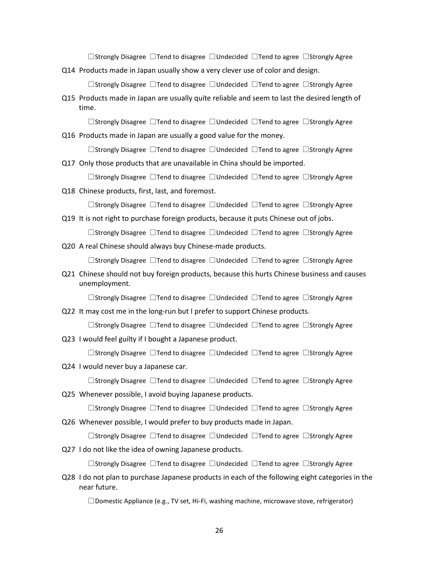□Strongly Disagree □Tend to disagree □Undecided □Tend to agree □Strongly Agree

Q14 Products made in Japan usually show a very clever use of color and design.

□Strongly Disagree □Tend to disagree □Undecided □Tend to agree □Strongly Agree

Q15 Products made in Japan are usually quite reliable and seem to last the desired length of time.

□Strongly Disagree □Tend to disagree □Undecided □Tend to agree □Strongly Agree Q16 Products made in Japan are usually a good value for the money.

□Strongly Disagree □Tend to disagree □Undecided □Tend to agree □Strongly Agree

Q17 Only those products that are unavailable in China should be imported.

□Strongly Disagree □Tend to disagree □Undecided □Tend to agree □Strongly Agree

Q18 Chinese products, first, last, and foremost.

□Strongly Disagree □Tend to disagree □Undecided □Tend to agree □Strongly Agree

Q19 It is not right to purchase foreign products, because it puts Chinese out of jobs.

 $□$ Strongly Disagree  $□$ Tend to disagree  $□$ Undecided  $□$ Tend to agree  $□$ Strongly Agree Q20 A real Chinese should always buy Chinese-made products.

□Strongly Disagree □Tend to disagree □Undecided □Tend to agree □Strongly Agree

Q21 Chinese should not buy foreign products, because this hurts Chinese business and causes unemployment.

□Strongly Disagree □Tend to disagree □Undecided □Tend to agree □Strongly Agree

Q22 It may cost me in the long-run but I prefer to support Chinese products.

□Strongly Disagree □Tend to disagree □Undecided □Tend to agree □Strongly Agree Q23 I would feel guilty if I bought a Japanese product.

□Strongly Disagree □Tend to disagree □Undecided □Tend to agree □Strongly Agree

Q24 I would never buy a Japanese car.

□Strongly Disagree □Tend to disagree □Undecided □Tend to agree □Strongly Agree

Q25 Whenever possible, I avoid buying Japanese products.

□Strongly Disagree □Tend to disagree □Undecided □Tend to agree □Strongly Agree Q26 Whenever possible, I would prefer to buy products made in Japan.

□Strongly Disagree □Tend to disagree □Undecided □Tend to agree □Strongly Agree

Q27 I do not like the idea of owning Japanese products.

□Strongly Disagree □Tend to disagree □Undecided □Tend to agree □Strongly Agree

Q28 I do not plan to purchase Japanese products in each of the following eight categories in the near future.

 $\square$ Domestic Appliance (e.g., TV set, Hi-Fi, washing machine, microwave stove, refrigerator)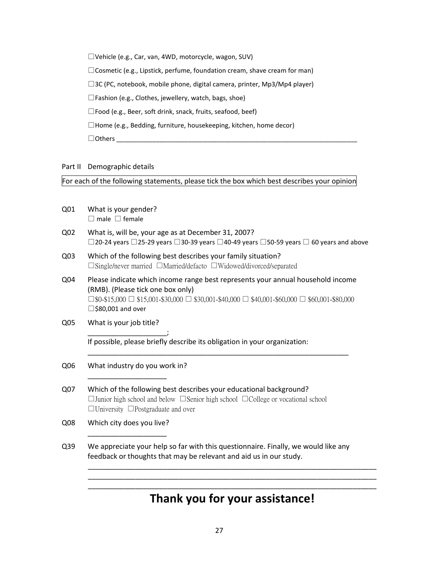□Vehicle (e.g., Car, van, 4WD, motorcycle, wagon, SUV)  $\Box$ Cosmetic (e.g., Lipstick, perfume, foundation cream, shave cream for man) □3C (PC, notebook, mobile phone, digital camera, printer, Mp3/Mp4 player) □Fashion (e.g., Clothes, jewellery, watch, bags, shoe)  $\square$  Food (e.g., Beer, soft drink, snack, fruits, seafood, beef)  $\square$  Home (e.g., Bedding, furniture, housekeeping, kitchen, home decor)  $\Box$  Others

#### Part II Demographic details

#### For each of the following statements, please tick the box which best describes your opinion

- Q01 What is your gender? □ male □ female
- Q02 What is, will be, your age as at December 31, 2007?  $□$ 20-24 years  $□$ 25-29 years  $□$ 30-39 years  $□$ 40-49 years  $□$ 50-59 years  $□$  60 years and above
- Q03 Which of the following best describes your family situation? □Single/never married □Married/defacto □Widowed/divorced/separated
- Q04 Please indicate which income range best represents your annual household income (RMB). (Please tick one box only)  $\Box$ \$0-\$15,000  $\Box$  \$15,001-\$30,000  $\Box$  \$30,001-\$40,000  $\Box$  \$40,001-\$60,000  $\Box$  \$60,001-\$80,000 □\$80,001 and over

\_\_\_\_\_\_\_\_\_\_\_\_\_\_\_\_\_\_\_\_\_\_\_\_\_\_\_\_\_\_\_\_\_\_\_\_\_\_\_\_\_\_\_\_\_\_\_\_\_\_\_\_\_\_\_\_\_\_\_\_\_\_\_\_\_\_

Q05 What is your job title?

If possible, please briefly describe its obligation in your organization:

Q06 What industry do you work in?

\_\_\_\_\_\_\_\_\_\_\_\_\_\_\_\_\_\_\_\_;

- Q07 Which of the following best describes your educational background? □Junior high school and below □Senior high school □College or vocational school □University □Postgraduate and over
- Q08 Which city does you live?
- Q39 We appreciate your help so far with this questionnaire. Finally, we would like any feedback or thoughts that may be relevant and aid us in our study.

# \_\_\_\_\_\_\_\_\_\_\_\_\_\_\_\_\_\_\_\_\_\_\_\_\_\_\_\_\_\_\_\_\_\_\_\_\_\_\_\_\_\_\_\_\_\_\_\_\_\_\_\_\_\_\_\_\_\_\_\_\_\_\_\_\_\_\_\_\_\_\_\_\_ **Thank you for your assistance!**

 $\_$  , and the set of the set of the set of the set of the set of the set of the set of the set of the set of the set of the set of the set of the set of the set of the set of the set of the set of the set of the set of th  $\_$  , and the set of the set of the set of the set of the set of the set of the set of the set of the set of the set of the set of the set of the set of the set of the set of the set of the set of the set of the set of th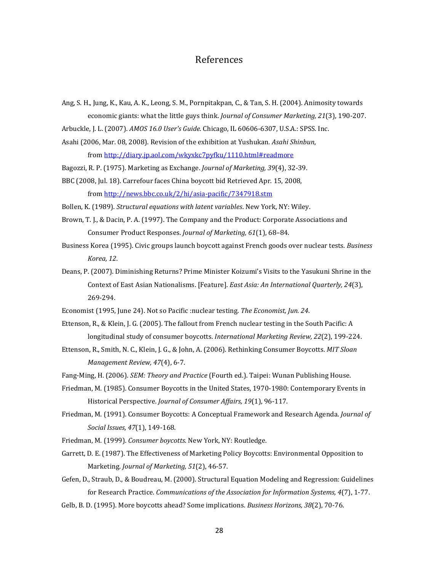#### References

Ang, S. H., Jung, K., Kau, A. K., Leong, S. M., Pornpitakpan, C., & Tan, S. H. (2004). Animosity towards economic giants: what the little guys think. *Journal of Consumer Marketing, 21*(3), 190-207.

Arbuckle, J. L. (2007). *AMOS 16.0 User's Guide*. Chicago, IL 60606-6307, U.S.A.: SPSS. Inc.

- Asahi (2006, Mar. 08, 2008). Revision of the exhibition at Yushukan*. Asahi Shinbun*, fro[m http://diary.jp.aol.com/wkyxkc7pyfku/1110.html#readmore](http://diary.jp.aol.com/wkyxkc7pyfku/1110.html#readmore)
- Bagozzi, R. P. (1975). Marketing as Exchange. *Journal of Marketing, 39*(4), 32-39.
- BBC (2008, Jul. 18). Carrefour faces China boycott bid Retrieved Apr. 15, 2008,

fro[m http://news.bbc.co.uk/2/hi/asia-pacific/7347918.stm](http://news.bbc.co.uk/2/hi/asia-pacific/7347918.stm)

Bollen, K. (1989). *Structural equations with latent variables*. New York, NY: Wiley.

- Brown, T. J., & Dacin, P. A. (1997). The Company and the Product: Corporate Associations and Consumer Product Responses. *Journal of Marketing, 61*(1), 68–84.
- Business Korea (1995). Civic groups launch boycott against French goods over nuclear tests. *Business Korea, 12*.
- Deans, P. (2007). Diminishing Returns? Prime Minister Koizumi's Visits to the Yasukuni Shrine in the Context of East Asian Nationalisms. [Feature]. *East Asia: An International Quarterly, 24*(3), 269-294.
- Economist (1995, June 24). Not so Pacific :nuclear testing. *The Economist, Jun. 24*.
- Ettenson, R., & Klein, J. G. (2005). The fallout from French nuclear testing in the South Pacific: A longitudinal study of consumer boycotts. *International Marketing Review, 22*(2), 199-224.
- Ettenson, R., Smith, N. C., Klein, J. G., & John, A. (2006). Rethinking Consumer Boycotts. *MIT Sloan Management Review, 47*(4), 6-7.
- Fang-Ming, H. (2006). *SEM: Theory and Practice* (Fourth ed.). Taipei: Wunan Publishing House.
- Friedman, M. (1985). Consumer Boycotts in the United States, 1970-1980: Contemporary Events in Historical Perspective. *Journal of Consumer Affairs, 19*(1), 96-117.
- Friedman, M. (1991). Consumer Boycotts: A Conceptual Framework and Research Agenda. *Journal of Social Issues, 47*(1), 149-168.
- Friedman, M. (1999). *Consumer boycotts*. New York, NY: Routledge.
- Garrett, D. E. (1987). The Effectiveness of Marketing Policy Boycotts: Environmental Opposition to Marketing. *Journal of Marketing, 51*(2), 46-57.
- Gefen, D., Straub, D., & Boudreau, M. (2000). Structural Equation Modeling and Regression: Guidelines for Research Practice. *Communications of the Association for Information Systems, 4*(7), 1-77.
- Gelb, B. D. (1995). More boycotts ahead? Some implications. *Business Horizons, 38*(2), 70-76.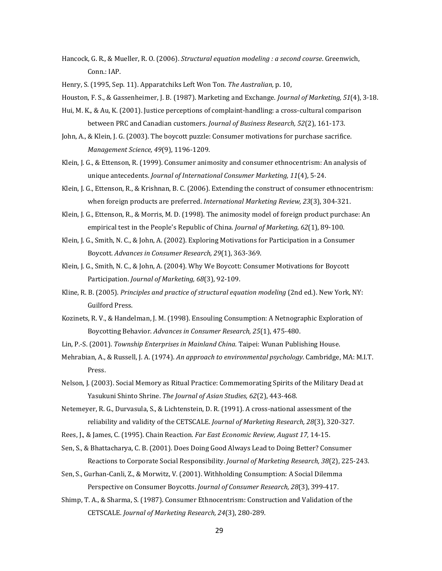Hancock, G. R., & Mueller, R. O. (2006). *Structural equation modeling : a second course*. Greenwich, Conn.: IAP.

Henry, S. (1995, Sep. 11). Apparatchiks Left Won Ton*. The Australian,* p. 10,

Houston, F. S., & Gassenheimer, J. B. (1987). Marketing and Exchange. *Journal of Marketing, 51*(4), 3-18.

- Hui, M. K., & Au, K. (2001). Justice perceptions of complaint-handling: a cross-cultural comparison between PRC and Canadian customers. *Journal of Business Research, 52*(2), 161-173.
- John, A., & Klein, J. G. (2003). The boycott puzzle: Consumer motivations for purchase sacrifice. *Management Science, 49*(9), 1196-1209.
- Klein, J. G., & Ettenson, R. (1999). Consumer animosity and consumer ethnocentrism: An analysis of unique antecedents. *Journal of International Consumer Marketing, 11*(4), 5-24.
- Klein, J. G., Ettenson, R., & Krishnan, B. C. (2006). Extending the construct of consumer ethnocentrism: when foreign products are preferred. *International Marketing Review, 23*(3), 304-321.
- Klein, J. G., Ettenson, R., & Morris, M. D. (1998). The animosity model of foreign product purchase: An empirical test in the People's Republic of China. *Journal of Marketing, 62*(1), 89-100.
- Klein, J. G., Smith, N. C., & John, A. (2002). Exploring Motivations for Participation in a Consumer Boycott. *Advances in Consumer Research, 29*(1), 363-369.
- Klein, J. G., Smith, N. C., & John, A. (2004). Why We Boycott: Consumer Motivations for Boycott Participation. *Journal of Marketing, 68*(3), 92-109.
- Kline, R. B. (2005). *Principles and practice of structural equation modeling* (2nd ed.). New York, NY: Guilford Press.
- Kozinets, R. V., & Handelman, J. M. (1998). Ensouling Consumption: A Netnographic Exploration of Boycotting Behavior. *Advances in Consumer Research, 25*(1), 475-480.

Lin, P.-S. (2001). *Township Enterprises in Mainland China*. Taipei: Wunan Publishing House.

- Mehrabian, A., & Russell, J. A. (1974). *An approach to environmental psychology*. Cambridge, MA: M.I.T. Press.
- Nelson, J. (2003). Social Memory as Ritual Practice: Commemorating Spirits of the Military Dead at Yasukuni Shinto Shrine. *The Journal of Asian Studies, 62*(2), 443-468.
- Netemeyer, R. G., Durvasula, S., & Lichtenstein, D. R. (1991). A cross-national assessment of the reliability and validity of the CETSCALE. *Journal of Marketing Research, 28*(3), 320-327.
- Rees, J., & James, C. (1995). Chain Reaction. *Far East Economic Review, August 17,* 14-15.
- Sen, S., & Bhattacharya, C. B. (2001). Does Doing Good Always Lead to Doing Better? Consumer Reactions to Corporate Social Responsibility. *Journal of Marketing Research, 38*(2), 225-243.
- Sen, S., Gurhan-Canli, Z., & Morwitz, V. (2001). Withholding Consumption: A Social Dilemma Perspective on Consumer Boycotts. *Journal of Consumer Research, 28*(3), 399-417.
- Shimp, T. A., & Sharma, S. (1987). Consumer Ethnocentrism: Construction and Validation of the CETSCALE. *Journal of Marketing Research, 24*(3), 280-289.